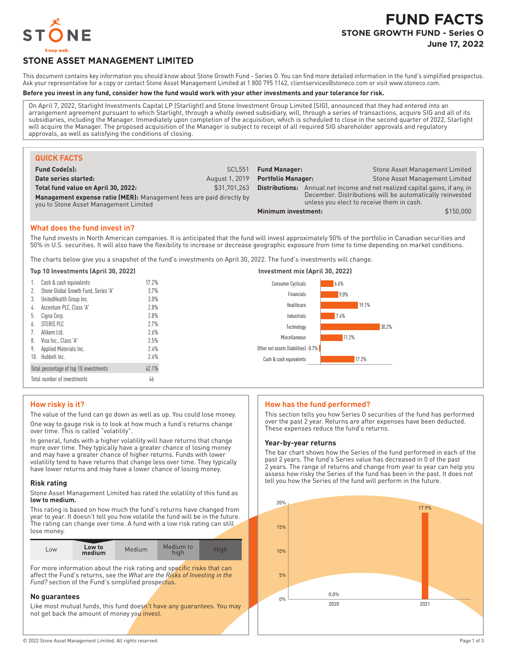

# **FUND FACTS STONE GROWTH FUND - Series O June 17, 2022**

# **STONE ASSET MANAGEMENT LIMITED**

This document contains key information you should know about Stone Growth Fund - Series O. You can find more detailed information in the fund's simplified prospectus. Ask your representative for a copy or contact Stone Asset Management Limited at 1800 795 1142, clientservices@stoneco.com or visit www.stoneco.com.

#### **Before you invest in any fund, consider how the fund would work with your other investments and your tolerance for risk.**

On April 7, 2022, Starlight Investments Capital LP (Starlight) and Stone Investment Group Limited (SIG), announced that they had entered into an arrangement agreement pursuant to which Starlight, through a wholly owned subsidiary, will, through a series of transactions, acquire SIG and all of its subsidiaries, including the Manager. Immediately upon completion of the acquisition, which is scheduled to close in the second quarter of 2022, Starlight will acquire the Manager. The proposed acquisition of the Manager is subject to receipt of all required SIG shareholder approvals and regulatory approvals, as well as satisfying the conditions of closing.

| <b>QUICK FACTS</b>                                                                                                                                   |                |                           |                                           |                                                                                                                          |
|------------------------------------------------------------------------------------------------------------------------------------------------------|----------------|---------------------------|-------------------------------------------|--------------------------------------------------------------------------------------------------------------------------|
| <b>Fund Code(s):</b>                                                                                                                                 | <b>SCL551</b>  | <b>Fund Manager:</b>      |                                           | Stone Asset Management Limited                                                                                           |
| Date series started:                                                                                                                                 | August 1, 2019 | <b>Portfolio Manager:</b> |                                           | Stone Asset Management Limited                                                                                           |
| Total fund value on April 30, 2022:<br>Management expense ratio (MER): Management fees are paid directly by<br>you to Stone Asset Management Limited | \$31.701.263   | Distributions:            | unless you elect to receive them in cash. | Annual net income and net realized capital gains, if any, in<br>December. Distributions will be automatically reinvested |
|                                                                                                                                                      |                | Minimum investment:       |                                           | \$150,000                                                                                                                |

## **What does the fund invest in?**

The fund invests in North American companies. It is anticipated that the fund will invest approximately 50% of the portfolio in Canadian securities and 50% in U.S. securities. It will also have the flexibility to increase or decrease geographic exposure from time to time depending on market conditions.

The charts below give you a snapshot of the fund's investments on April 30, 2022. The fund's investments will change.

| Top 10 Investments (April 30, 2022)    |         | Investment mix (April 30, 2022)      |
|----------------------------------------|---------|--------------------------------------|
| Cash & cash equivalents                | 17.2%   | <b>Consumer Cyclicals</b><br>6.6%    |
| Stone Global Growth Fund, Series 'A'   | 3.7%    | 9.0%<br>Financials                   |
| 3.<br>UnitedHealth Group Inc.          | $3.0\%$ |                                      |
| Accenture PLC, Class 'A'<br>4.         | 2.8%    | 19.1%<br>Healthcare                  |
| Cigna Corp.<br>b.                      | 2.8%    | Industrials<br>7.4%                  |
| STERIS PIC<br>6.                       | 2.7%    | 30.2%<br>Technology                  |
| Allkem Itd.                            | 2.6%    |                                      |
| 8.<br>Visa Inc., Class 'A'             | 2.5%    | 11.2%<br>Miscellaneous               |
| 9.<br>Applied Materials Inc.           | 2.4%    | Other net assets (liabilities) -0.7% |
| 10. Hubbell Inc.                       | $2.4\%$ | 17.2%<br>Cash & cash equivalents     |
| Total percentage of top 10 investments | 42.1%   |                                      |
| Total number of investments            | 46      |                                      |

# **How risky is it?**

The value of the fund can go down as well as up. You could lose money. One way to gauge risk is to look at how much a fund's returns change over time. This is called "volatility".

In general, funds with a higher volatility will have returns that change more over time. They typically have a greater chance of losing money and may have a greater chance of higher returns. Funds with lower volatility tend to have returns that change less over time. They typically have lower returns and may have a lower chance of losing money.

### **Risk rating**

Stone Asset Management Limited has rated the volatility of this fund as **low to medium.**

This rating is based on how much the fund's returns have changed from year to year. It doesn't tell you how volatile the fund will be in the future. The rating can change over time. A fund with a low risk rating can still lose money.

| $-0W$ | Low to<br>medium | Medium | Medium to<br>hial |  |
|-------|------------------|--------|-------------------|--|

For more information about the risk rating and specific risks that can affect the Fund's returns, see the *What are the Risks of Investing in the Fund?* section of the Fund's simplified prospectus.

### **No guarantees**

Like most mutual funds, this fund doesn't have any quarantees. You may not get back the amount of money you invest.

# **How has the fund performed?**

This section tells you how Series O securities of the fund has performed over the past 2 year. Returns are after expenses have been deducted. These expenses reduce the fund's returns.

### **Year-by-year returns**

The bar chart shows how the Series of the fund performed in each of the past 2 years. The fund's Series value has decreased in 0 of the past 2 years. The range of returns and change from year to year can help you assess how risky the Series of the fund has been in the past. It does not tell you how the Series of the fund will perform in the future.

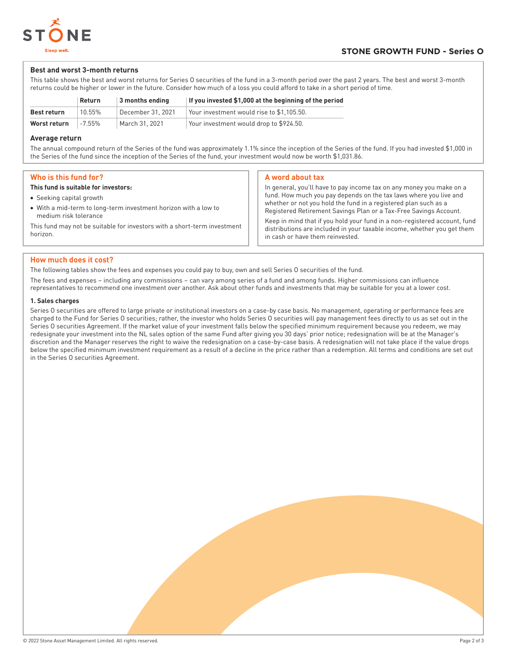

## **Best and worst 3-month returns**

This table shows the best and worst returns for Series O securities of the fund in a 3-month period over the past 2 years. The best and worst 3-month returns could be higher or lower in the future. Consider how much of a loss you could afford to take in a short period of time.

|              | Return    | $\vert$ 3 months ending | If you invested \$1,000 at the beginning of the period |
|--------------|-----------|-------------------------|--------------------------------------------------------|
| Best return  | 10.55%    | December 31, 2021       | Your investment would rise to \$1.105.50.              |
| Worst return | $-7.55\%$ | March 31, 2021          | Your investment would drop to \$924.50.                |

### **Average return**

The annual compound return of the Series of the fund was approximately 1.1% since the inception of the Series of the fund. If you had invested \$1,000 in the Series of the fund since the inception of the Series of the fund, your investment would now be worth \$1,031.86.

## **Who is this fund for?**

#### **This fund is suitable for investors:**

- Seeking capital growth
- With a mid-term to long-term investment horizon with a low to medium risk tolerance

This fund may not be suitable for investors with a short-term investment horizon.

#### **A word about tax**

In general, you'll have to pay income tax on any money you make on a fund. How much you pay depends on the tax laws where you live and whether or not you hold the fund in a registered plan such as a Registered Retirement Savings Plan or a Tax-Free Savings Account. Keep in mind that if you hold your fund in a non-registered account, fund distributions are included in your taxable income, whether you get them in cash or have them reinvested.

## **How much does it cost?**

The following tables show the fees and expenses you could pay to buy, own and sell Series O securities of the fund.

The fees and expenses – including any commissions – can vary among series of a fund and among funds. Higher commissions can influence representatives to recommend one investment over another. Ask about other funds and investments that may be suitable for you at a lower cost.

### **1. Sales charges**

Series O securities are offered to large private or institutional investors on a case-by case basis. No management, operating or performance fees are charged to the Fund for Series O securities; rather, the investor who holds Series O securities will pay management fees directly to us as set out in the Series O securities Agreement. If the market value of your investment falls below the specified minimum requirement because you redeem, we may redesignate your investment into the NL sales option of the same Fund after giving you 30 days' prior notice; redesignation will be at the Manager's discretion and the Manager reserves the right to waive the redesignation on a case-by-case basis. A redesignation will not take place if the value drops below the specified minimum investment requirement as a result of a decline in the price rather than a redemption. All terms and conditions are set out in the Series O securities Agreement.